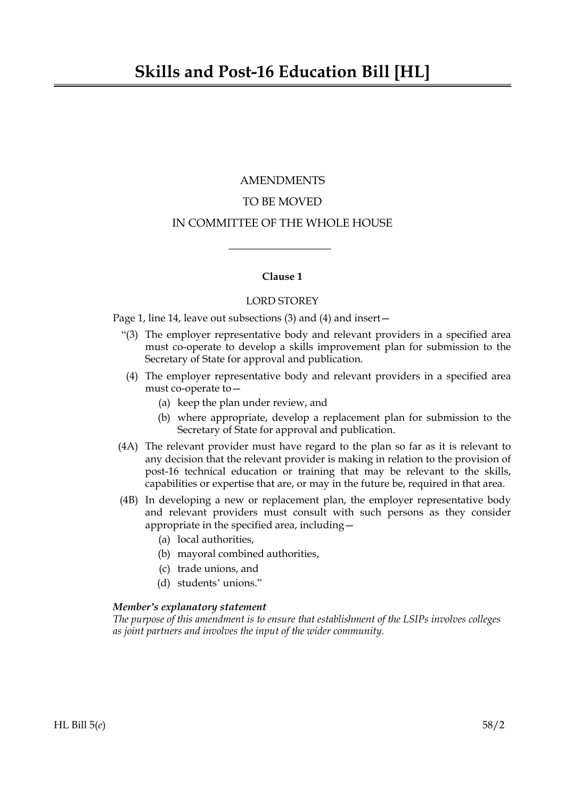# AMENDMENTS TO BE MOVED IN COMMITTEE OF THE WHOLE HOUSE

## **Clause 1**

 $\overline{\phantom{a}}$  , where  $\overline{\phantom{a}}$ 

## LORD STOREY

Page 1, line 14, leave out subsections (3) and (4) and insert—

- "(3) The employer representative body and relevant providers in a specified area must co-operate to develop a skills improvement plan for submission to the Secretary of State for approval and publication.
- (4) The employer representative body and relevant providers in a specified area must co-operate to—
	- (a) keep the plan under review, and
	- (b) where appropriate, develop a replacement plan for submission to the Secretary of State for approval and publication.
- (4A) The relevant provider must have regard to the plan so far as it is relevant to any decision that the relevant provider is making in relation to the provision of post-16 technical education or training that may be relevant to the skills, capabilities or expertise that are, or may in the future be, required in that area.
- (4B) In developing a new or replacement plan, the employer representative body and relevant providers must consult with such persons as they consider appropriate in the specified area, including—
	- (a) local authorities,
	- (b) mayoral combined authorities,
	- (c) trade unions, and
	- (d) students' unions."

#### *Member's explanatory statement*

*The purpose of this amendment is to ensure that establishment of the LSIPs involves colleges as joint partners and involves the input of the wider community.*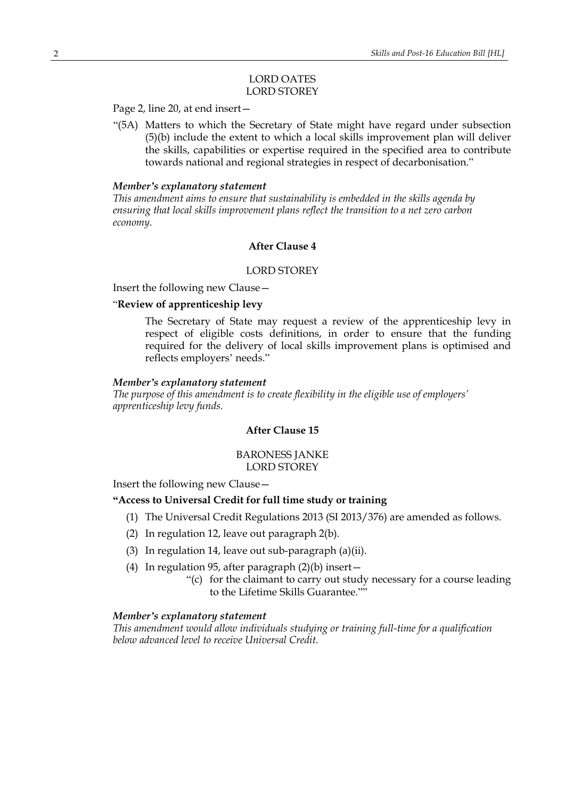### LORD OATES LORD STOREY

Page 2, line 20, at end insert—

"(5A) Matters to which the Secretary of State might have regard under subsection (5)(b) include the extent to which a local skills improvement plan will deliver the skills, capabilities or expertise required in the specified area to contribute towards national and regional strategies in respect of decarbonisation."

#### *Member's explanatory statement*

*This amendment aims to ensure that sustainability is embedded in the skills agenda by ensuring that local skills improvement plans reflect the transition to a net zero carbon economy.*

## **After Clause 4**

#### LORD STOREY

Insert the following new Clause—

#### "**Review of apprenticeship levy**

The Secretary of State may request a review of the apprenticeship levy in respect of eligible costs definitions, in order to ensure that the funding required for the delivery of local skills improvement plans is optimised and reflects employers' needs."

#### *Member's explanatory statement*

*The purpose of this amendment is to create flexibility in the eligible use of employers' apprenticeship levy funds.*

## **After Clause 15**

#### BARONESS JANKE LORD STOREY

Insert the following new Clause—

#### **"Access to Universal Credit for full time study or training**

- (1) The Universal Credit Regulations 2013 (SI 2013/376) are amended as follows.
- (2) In regulation 12, leave out paragraph 2(b).
- (3) In regulation 14, leave out sub-paragraph (a)(ii).
- (4) In regulation 95, after paragraph  $(2)(b)$  insert -
	- "(c) for the claimant to carry out study necessary for a course leading to the Lifetime Skills Guarantee.""

#### *Member's explanatory statement*

*This amendment would allow individuals studying or training full-time for a qualification below advanced level to receive Universal Credit.*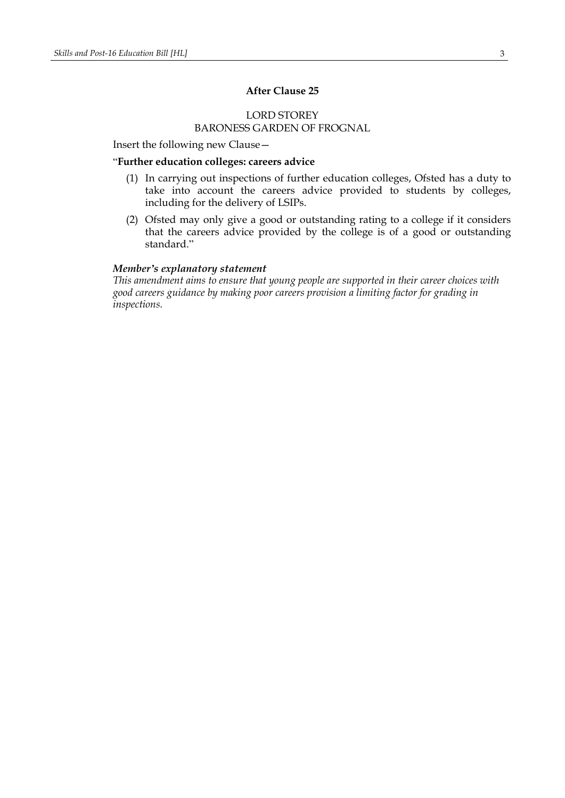## **After Clause 25**

## LORD STOREY BARONESS GARDEN OF FROGNAL

Insert the following new Clause—

## "**Further education colleges: careers advice**

- (1) In carrying out inspections of further education colleges, Ofsted has a duty to take into account the careers advice provided to students by colleges, including for the delivery of LSIPs.
- (2) Ofsted may only give a good or outstanding rating to a college if it considers that the careers advice provided by the college is of a good or outstanding standard."

#### *Member's explanatory statement*

*This amendment aims to ensure that young people are supported in their career choices with good careers guidance by making poor careers provision a limiting factor for grading in inspections.*